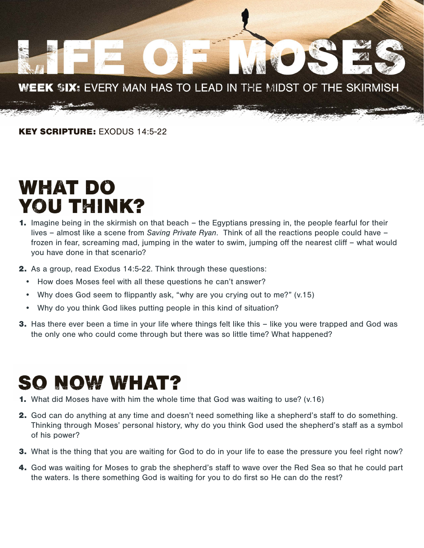

KEY SCRIPTURE: EXODUS 14:5-22

## **WHAT DO YOU THINK?**

- 1. Imagine being in the skirmish on that beach the Egyptians pressing in, the people fearful for their lives – almost like a scene from *Saving Private Ryan*. Think of all the reactions people could have – frozen in fear, screaming mad, jumping in the water to swim, jumping off the nearest cliff – what would you have done in that scenario?
- 2. As a group, read Exodus 14:5-22. Think through these questions:
	- How does Moses feel with all these questions he can't answer?
	- Why does God seem to flippantly ask, "why are you crying out to me?" (v.15)
	- Why do you think God likes putting people in this kind of situation?
- **3.** Has there ever been a time in your life where things felt like this like you were trapped and God was the only one who could come through but there was so little time? What happened?

## **SO NOW WHAT?**

- 1. What did Moses have with him the whole time that God was waiting to use? (v.16)
- 2. God can do anything at any time and doesn't need something like a shepherd's staff to do something. Thinking through Moses' personal history, why do you think God used the shepherd's staff as a symbol of his power?
- **3.** What is the thing that you are waiting for God to do in your life to ease the pressure you feel right now?
- 4. God was waiting for Moses to grab the shepherd's staff to wave over the Red Sea so that he could part the waters. Is there something God is waiting for you to do first so He can do the rest?